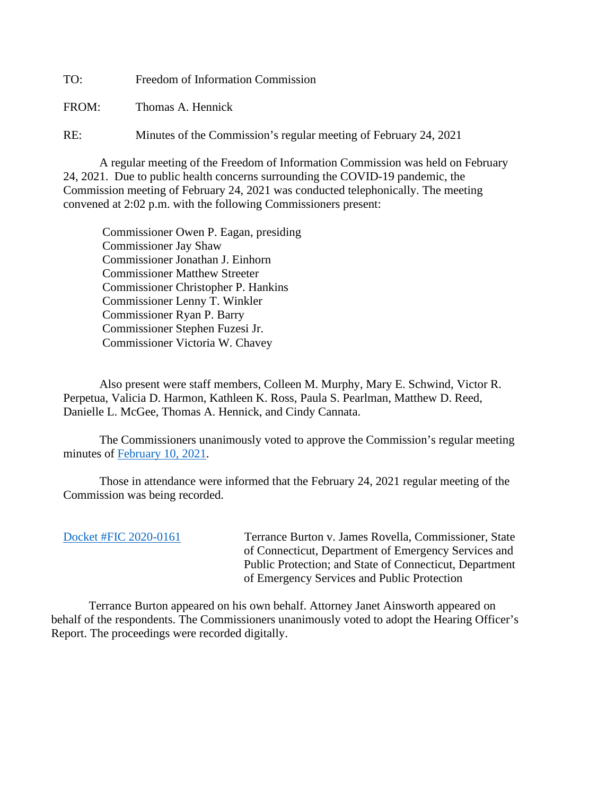TO: Freedom of Information Commission FROM: Thomas A. Hennick

RE: Minutes of the Commission's regular meeting of February 24, 2021

A regular meeting of the Freedom of Information Commission was held on February 24, 2021. Due to public health concerns surrounding the COVID-19 pandemic, the Commission meeting of February 24, 2021 was conducted telephonically. The meeting convened at 2:02 p.m. with the following Commissioners present:

 Commissioner Owen P. Eagan, presiding Commissioner Jay Shaw Commissioner Jonathan J. Einhorn Commissioner Matthew Streeter Commissioner Christopher P. Hankins Commissioner Lenny T. Winkler Commissioner Ryan P. Barry Commissioner Stephen Fuzesi Jr. Commissioner Victoria W. Chavey

Also present were staff members, Colleen M. Murphy, Mary E. Schwind, Victor R. Perpetua, Valicia D. Harmon, Kathleen K. Ross, Paula S. Pearlman, Matthew D. Reed, Danielle L. McGee, Thomas A. Hennick, and Cindy Cannata.

The Commissioners unanimously voted to approve the Commission's regular meeting minutes of [February 10, 2021.](https://portal.ct.gov/-/media/FOI/Minutes/2021/Minutes-2-10-2021b.pdf)

 Those in attendance were informed that the February 24, 2021 regular meeting of the Commission was being recorded.

| Docket #FIC 2020-0161 |
|-----------------------|
|-----------------------|

Terrance Burton v. James Rovella, Commissioner, State of Connecticut, Department of Emergency Services and Public Protection; and State of Connecticut, Department of Emergency Services and Public Protection

 Terrance Burton appeared on his own behalf. Attorney Janet Ainsworth appeared on behalf of the respondents. The Commissioners unanimously voted to adopt the Hearing Officer's Report. The proceedings were recorded digitally.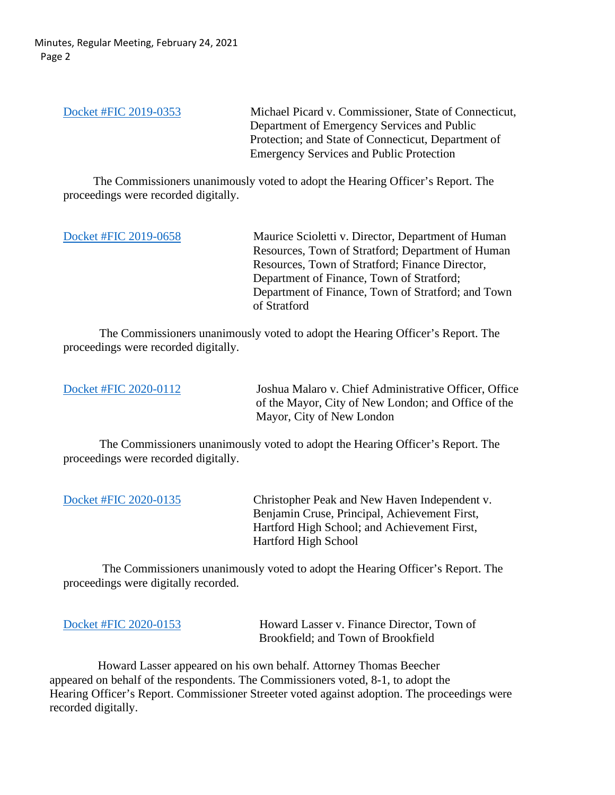Minutes, Regular Meeting, February 24, 2021 Page 2

[Docket #FIC 2019-0353](https://portal.ct.gov/-/media/FOI/FinalDecisions/2021/Feb24/2019-0353.pdf) Michael Picard v. Commissioner, State of Connecticut, Department of Emergency Services and Public Protection; and State of Connecticut, Department of Emergency Services and Public Protection

 The Commissioners unanimously voted to adopt the Hearing Officer's Report. The proceedings were recorded digitally.

[Docket #FIC 2019-0658](https://portal.ct.gov/-/media/FOI/FinalDecisions/2021/Feb24/2019-0658.pdf) Maurice Scioletti v. Director, Department of Human Resources, Town of Stratford; Department of Human Resources, Town of Stratford; Finance Director, Department of Finance, Town of Stratford; Department of Finance, Town of Stratford; and Town of Stratford

 The Commissioners unanimously voted to adopt the Hearing Officer's Report. The proceedings were recorded digitally.

[Docket #FIC 2020-0112](https://portal.ct.gov/-/media/FOI/FinalDecisions/2021/Feb24/2020-0112.pdf) Joshua Malaro v. Chief Administrative Officer, Office of the Mayor, City of New London; and Office of the Mayor, City of New London

 The Commissioners unanimously voted to adopt the Hearing Officer's Report. The proceedings were recorded digitally.

[Docket #FIC 2020-0135](https://portal.ct.gov/-/media/FOI/FinalDecisions/2021/Feb24/2020-0135.pdf) Christopher Peak and New Haven Independent v. Benjamin Cruse, Principal, Achievement First, Hartford High School; and Achievement First, Hartford High School

The Commissioners unanimously voted to adopt the Hearing Officer's Report. The proceedings were digitally recorded.

[Docket #FIC 2020-0153](https://portal.ct.gov/-/media/FOI/FinalDecisions/2021/Feb24/2020-0153.pdf) Howard Lasser v. Finance Director, Town of Brookfield; and Town of Brookfield

 Howard Lasser appeared on his own behalf. Attorney Thomas Beecher appeared on behalf of the respondents. The Commissioners voted, 8-1, to adopt the Hearing Officer's Report. Commissioner Streeter voted against adoption. The proceedings were recorded digitally.